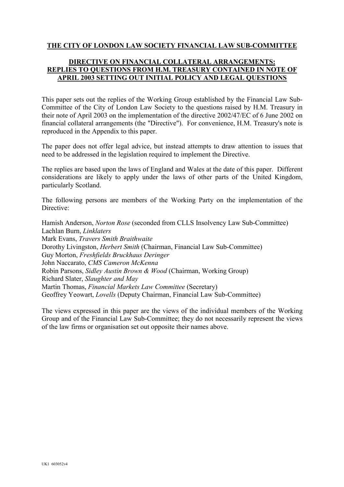## **THE CITY OF LONDON LAW SOCIETY FINANCIAL LAW SUB-COMMITTEE**

## **DIRECTIVE ON FINANCIAL COLLATERAL ARRANGEMENTS: REPLIES TO QUESTIONS FROM H.M. TREASURY CONTAINED IN NOTE OF APRIL 2003 SETTING OUT INITIAL POLICY AND LEGAL QUESTIONS**

This paper sets out the replies of the Working Group established by the Financial Law Sub-Committee of the City of London Law Society to the questions raised by H.M. Treasury in their note of April 2003 on the implementation of the directive 2002/47/EC of 6 June 2002 on financial collateral arrangements (the "Directive"). For convenience, H.M. Treasury's note is reproduced in the Appendix to this paper.

The paper does not offer legal advice, but instead attempts to draw attention to issues that need to be addressed in the legislation required to implement the Directive.

The replies are based upon the laws of England and Wales at the date of this paper. Different considerations are likely to apply under the laws of other parts of the United Kingdom, particularly Scotland.

The following persons are members of the Working Party on the implementation of the Directive:

Hamish Anderson, *Norton Rose* (seconded from CLLS Insolvency Law Sub-Committee) Lachlan Burn, *Linklaters* Mark Evans, *Travers Smith Braithwaite* Dorothy Livingston, *Herbert Smith* (Chairman, Financial Law Sub-Committee) Guy Morton, *Freshfields Bruckhaus Deringer* John Naccarato, *CMS Cameron McKenna* Robin Parsons, *Sidley Austin Brown & Wood* (Chairman, Working Group) Richard Slater, *Slaughter and May* Martin Thomas, *Financial Markets Law Committee* (Secretary) Geoffrey Yeowart, *Lovells* (Deputy Chairman, Financial Law Sub-Committee)

The views expressed in this paper are the views of the individual members of the Working Group and of the Financial Law Sub-Committee; they do not necessarily represent the views of the law firms or organisation set out opposite their names above.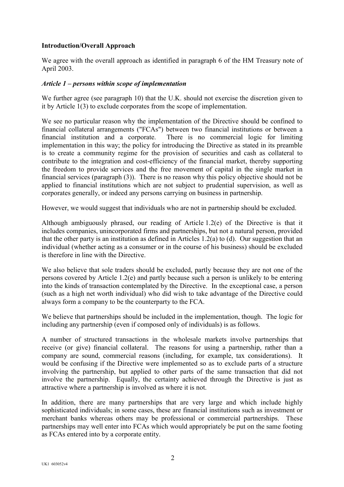## **Introduction/Overall Approach**

We agree with the overall approach as identified in paragraph 6 of the HM Treasury note of April 2003.

## *Article 1 – persons within scope of implementation*

We further agree (see paragraph 10) that the U.K. should not exercise the discretion given to it by Article 1(3) to exclude corporates from the scope of implementation.

We see no particular reason why the implementation of the Directive should be confined to financial collateral arrangements ("FCAs") between two financial institutions or between a financial institution and a corporate. There is no commercial logic for limiting implementation in this way; the policy for introducing the Directive as stated in its preamble is to create a community regime for the provision of securities and cash as collateral to contribute to the integration and cost-efficiency of the financial market, thereby supporting the freedom to provide services and the free movement of capital in the single market in financial services (paragraph (3)). There is no reason why this policy objective should not be applied to financial institutions which are not subject to prudential supervision, as well as corporates generally, or indeed any persons carrying on business in partnership.

However, we would suggest that individuals who are not in partnership should be excluded.

Although ambiguously phrased, our reading of Article 1.2(e) of the Directive is that it includes companies, unincorporated firms and partnerships, but not a natural person, provided that the other party is an institution as defined in Articles 1.2(a) to (d). Our suggestion that an individual (whether acting as a consumer or in the course of his business) should be excluded is therefore in line with the Directive.

We also believe that sole traders should be excluded, partly because they are not one of the persons covered by Article 1.2(e) and partly because such a person is unlikely to be entering into the kinds of transaction contemplated by the Directive. In the exceptional case, a person (such as a high net worth individual) who did wish to take advantage of the Directive could always form a company to be the counterparty to the FCA.

We believe that partnerships should be included in the implementation, though. The logic for including any partnership (even if composed only of individuals) is as follows.

A number of structured transactions in the wholesale markets involve partnerships that receive (or give) financial collateral. The reasons for using a partnership, rather than a company are sound, commercial reasons (including, for example, tax considerations). It would be confusing if the Directive were implemented so as to exclude parts of a structure involving the partnership, but applied to other parts of the same transaction that did not involve the partnership. Equally, the certainty achieved through the Directive is just as attractive where a partnership is involved as where it is not.

In addition, there are many partnerships that are very large and which include highly sophisticated individuals; in some cases, these are financial institutions such as investment or merchant banks whereas others may be professional or commercial partnerships. These partnerships may well enter into FCAs which would appropriately be put on the same footing as FCAs entered into by a corporate entity.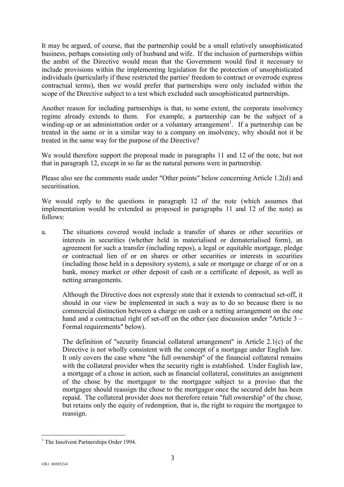It may be argued, of course, that the partnership could be a small relatively unsophisticated business, perhaps consisting only of husband and wife. If the inclusion of partnerships within the ambit of the Directive would mean that the Government would find it necessary to include provisions within the implementing legislation for the protection of unsophisticated individuals (particularly if these restricted the parties' freedom to contract or overrode express contractual terms), then we would prefer that partnerships were only included within the scope of the Directive subject to a test which excluded such unsophisticated partnerships.

Another reason for including partnerships is that, to some extent, the corporate insolvency regime already extends to them. For example, a partnership can be the subject of a winding-up or an administration order or a voluntary arrangement<sup>[1](#page-2-0)</sup>. If a partnership can be treated in the same or in a similar way to a company on insolvency, why should not it be treated in the same way for the purpose of the Directive?

We would therefore support the proposal made in paragraphs 11 and 12 of the note, but not that in paragraph 12, except in so far as the natural persons were in partnership.

Please also see the comments made under "Other points" below concerning Article 1.2(d) and securitisation.

We would reply to the questions in paragraph 12 of the note (which assumes that implementation would be extended as proposed in paragraphs 11 and 12 of the note) as follows:

a. The situations covered would include a transfer of shares or other securities or interests in securities (whether held in materialised or dematerialised form), an agreement for such a transfer (including repos), a legal or equitable mortgage, pledge or contractual lien of or on shares or other securities or interests in securities (including those held in a depository system), a sale or mortgage or charge of or on a bank, money market or other deposit of cash or a certificate of deposit, as well as netting arrangements.

Although the Directive does not expressly state that it extends to contractual set-off, it should in our view be implemented in such a way as to do so because there is no commercial distinction between a charge on cash or a netting arrangement on the one hand and a contractual right of set-off on the other (see discussion under "Article 3 – Formal requirements" below).

The definition of "security financial collateral arrangement" in Article 2.1(c) of the Directive is not wholly consistent with the concept of a mortgage under English law. It only covers the case where "the full ownership" of the financial collateral remains with the collateral provider when the security right is established. Under English law, a mortgage of a chose in action, such as financial collateral, constitutes an assignment of the chose by the mortgagor to the mortgagee subject to a proviso that the mortgagee should reassign the chose to the mortgagor once the secured debt has been repaid. The collateral provider does not therefore retain "full ownership" of the chose, but retains only the equity of redemption, that is, the right to require the mortgagee to reassign.

<span id="page-2-0"></span><sup>&</sup>lt;sup>1</sup> The Insolvent Partnerships Order 1994.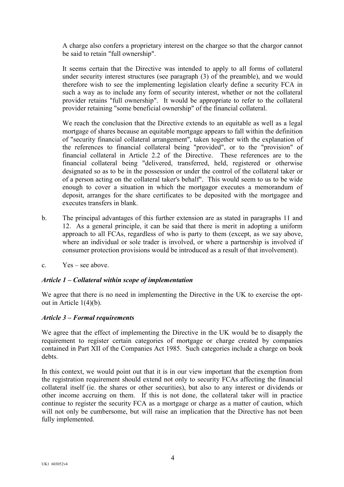A charge also confers a proprietary interest on the chargee so that the chargor cannot be said to retain "full ownership".

It seems certain that the Directive was intended to apply to all forms of collateral under security interest structures (see paragraph (3) of the preamble), and we would therefore wish to see the implementing legislation clearly define a security FCA in such a way as to include any form of security interest, whether or not the collateral provider retains "full ownership". It would be appropriate to refer to the collateral provider retaining "some beneficial ownership" of the financial collateral.

We reach the conclusion that the Directive extends to an equitable as well as a legal mortgage of shares because an equitable mortgage appears to fall within the definition of "security financial collateral arrangement", taken together with the explanation of the references to financial collateral being "provided", or to the "provision" of financial collateral in Article 2.2 of the Directive. These references are to the financial collateral being "delivered, transferred, held, registered or otherwise designated so as to be in the possession or under the control of the collateral taker or of a person acting on the collateral taker's behalf". This would seem to us to be wide enough to cover a situation in which the mortgagor executes a memorandum of deposit, arranges for the share certificates to be deposited with the mortgagee and executes transfers in blank.

- b. The principal advantages of this further extension are as stated in paragraphs 11 and 12. As a general principle, it can be said that there is merit in adopting a uniform approach to all FCAs, regardless of who is party to them (except, as we say above, where an individual or sole trader is involved, or where a partnership is involved if consumer protection provisions would be introduced as a result of that involvement).
- c. Yes see above.

# *Article 1 – Collateral within scope of implementation*

We agree that there is no need in implementing the Directive in the UK to exercise the optout in Article 1(4)(b).

# *Article 3 – Formal requirements*

We agree that the effect of implementing the Directive in the UK would be to disapply the requirement to register certain categories of mortgage or charge created by companies contained in Part XII of the Companies Act 1985. Such categories include a charge on book debts.

In this context, we would point out that it is in our view important that the exemption from the registration requirement should extend not only to security FCAs affecting the financial collateral itself (ie. the shares or other securities), but also to any interest or dividends or other income accruing on them. If this is not done, the collateral taker will in practice continue to register the security FCA as a mortgage or charge as a matter of caution, which will not only be cumbersome, but will raise an implication that the Directive has not been fully implemented.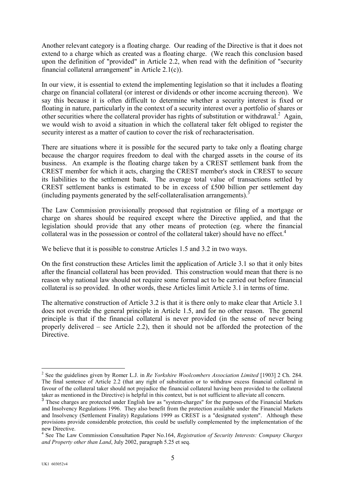Another relevant category is a floating charge. Our reading of the Directive is that it does not extend to a charge which as created was a floating charge. (We reach this conclusion based upon the definition of "provided" in Article 2.2, when read with the definition of "security financial collateral arrangement" in Article 2.1(c)).

In our view, it is essential to extend the implementing legislation so that it includes a floating charge on financial collateral (or interest or dividends or other income accruing thereon). We say this because it is often difficult to determine whether a security interest is fixed or floating in nature, particularly in the context of a security interest over a portfolio of shares or other securities where the collateral provider has rights of substitution or withdrawal.<sup>[2](#page-4-0)</sup> Again, we would wish to avoid a situation in which the collateral taker felt obliged to register the security interest as a matter of caution to cover the risk of recharacterisation.

There are situations where it is possible for the secured party to take only a floating charge because the chargor requires freedom to deal with the charged assets in the course of its business. An example is the floating charge taken by a CREST settlement bank from the CREST member for which it acts, charging the CREST member's stock in CREST to secure its liabilities to the settlement bank. The average total value of transactions settled by CREST settlement banks is estimated to be in excess of £500 billion per settlement day (including payments generated by the self-collateralisation arrangements).[3](#page-4-1)

The Law Commission provisionally proposed that registration or filing of a mortgage or charge on shares should be required except where the Directive applied, and that the legislation should provide that any other means of protection (eg. where the financial collateral was in the possession or control of the collateral taker) should have no effect.<sup>[4](#page-4-2)</sup>

We believe that it is possible to construe Articles 1.5 and 3.2 in two ways.

On the first construction these Articles limit the application of Article 3.1 so that it only bites after the financial collateral has been provided. This construction would mean that there is no reason why national law should not require some formal act to be carried out before financial collateral is so provided. In other words, these Articles limit Article 3.1 in terms of time.

The alternative construction of Article 3.2 is that it is there only to make clear that Article 3.1 does not override the general principle in Article 1.5, and for no other reason. The general principle is that if the financial collateral is never provided (in the sense of never being properly delivered – see Article 2.2), then it should not be afforded the protection of the **Directive** 

<span id="page-4-0"></span><sup>2</sup> See the guidelines given by Romer L.J. in *Re Yorkshire Woolcombers Association Limited* [1903] 2 Ch. 284. The final sentence of Article 2.2 (that any right of substitution or to withdraw excess financial collateral in favour of the collateral taker should not prejudice the financial collateral having been provided to the collateral taker as mentioned in the Directive) is helpful in this context, but is not sufficient to alleviate all concern.

<span id="page-4-1"></span><sup>&</sup>lt;sup>3</sup> These charges are protected under English law as "system-charges" for the purposes of the Financial Markets and Insolvency Regulations 1996. They also benefit from the protection available under the Financial Markets and Insolvency (Settlement Finality) Regulations 1999 as CREST is a "designated system". Although these provisions provide considerable protection, this could be usefully complemented by the implementation of the new Directive.

<span id="page-4-2"></span><sup>4</sup> See The Law Commission Consultation Paper No.164, *Registration of Security Interests: Company Charges and Property other than Land*, July 2002, paragraph 5.25 et seq.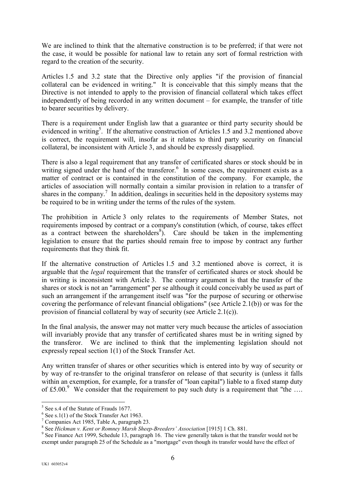<span id="page-5-4"></span>We are inclined to think that the alternative construction is to be preferred; if that were not the case, it would be possible for national law to retain any sort of formal restriction with regard to the creation of the security.

Articles 1.5 and 3.2 state that the Directive only applies "if the provision of financial collateral can be evidenced in writing." It is conceivable that this simply means that the Directive is not intended to apply to the provision of financial collateral which takes effect independently of being recorded in any written document – for example, the transfer of title to bearer securities by delivery.

There is a requirement under English law that a guarantee or third party security should be evidenced in writing<sup>[5](#page-5-0)</sup>. If the alternative construction of Articles 1.5 and 3.2 mentioned above is correct, the requirement will, insofar as it relates to third party security on financial collateral, be inconsistent with Article 3, and should be expressly disapplied.

There is also a legal requirement that any transfer of certificated shares or stock should be in writing signed under the hand of the transferor. $6$  In some cases, the requirement exists as a matter of contract or is contained in the constitution of the company. For example, the articles of association will normally contain a similar provision in relation to a transfer of sharesin the company.<sup>7</sup> In addition, dealings in securities held in the depository systems may be required to be in writing under the terms of the rules of the system.

The prohibition in Article 3 only relates to the requirements of Member States, not requirements imposed by contract or a company's constitution (which, of course, takes effect as a contract between the shareholders $\delta$ ). Care should be taken in the implementing legislation to ensure that the parties should remain free to impose by contract any further requirements that they think fit.

If the alternative construction of Articles 1.5 and 3.2 mentioned above is correct, it is arguable that the *legal* requirement that the transfer of certificated shares or stock should be in writing is inconsistent with Article 3. The contrary argument is that the transfer of the shares or stock is not an "arrangement" per se although it could conceivably be used as part of such an arrangement if the arrangement itself was "for the purpose of securing or otherwise covering the performance of relevant financial obligations" (see Article 2.1(b)) or was for the provision of financial collateral by way of security (see Article 2.1(c)).

In the final analysis, the answer may not matter very much because the articles of association will invariably provide that any transfer of certificated shares must be in writing signed by the transferor. We are inclined to think that the implementing legislation should not expressly repeal section 1(1) of the Stock Transfer Act.

Any written transfer of shares or other securities which is entered into by way of security or by way of re-transfer to the original transferor on release of that security is (unless it falls within an exemption, for example, for a transfer of "loan capital") liable to a fixed stamp duty of £5.00.<sup>[9](#page-5-4)</sup> We consider that the requirement to pay such duty is a requirement that "the ...

<span id="page-5-0"></span><sup>5</sup> See s.4 of the Statute of Frauds 1677.

<span id="page-5-1"></span> $6$  See s.1(1) of the Stock Transfer Act 1963.

<span id="page-5-2"></span>

<sup>&</sup>lt;sup>7</sup> Companies Act 1985, Table A, paragraph 23.<br><sup>8</sup> See Hickman v. Kent or Romney Marsh Sheep-Breeders' Association [1915] 1 Ch. 881.

<span id="page-5-3"></span><sup>&</sup>lt;sup>9</sup> See Finance Act 1999, Schedule 13, paragraph 16. The view generally taken is that the transfer would not be exempt under paragraph 25 of the Schedule as a "mortgage" even though its transfer would have the effect of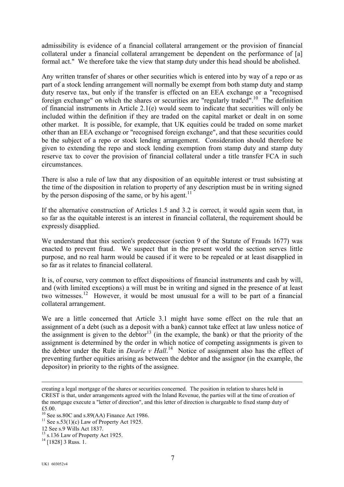admissibility is evidence of a financial collateral arrangement or the provision of financial collateral under a financial collateral arrangement be dependent on the performance of [a] formal act." We therefore take the view that stamp duty under this head should be abolished.

Any written transfer of shares or other securities which is entered into by way of a repo or as part of a stock lending arrangement will normally be exempt from both stamp duty and stamp duty reserve tax, but only if the transfer is effected on an EEA exchange or a "recognised" foreign exchange" on which the shares or securities are "regularly traded".<sup>10</sup> The definition of financial instruments in Article 2.1(e) would seem to indicate that securities will only be included within the definition if they are traded on the capital market or dealt in on some other market. It is possible, for example, that UK equities could be traded on some market other than an EEA exchange or "recognised foreign exchange", and that these securities could be the subject of a repo or stock lending arrangement. Consideration should therefore be given to extending the repo and stock lending exemption from stamp duty and stamp duty reserve tax to cover the provision of financial collateral under a title transfer FCA in such circumstances.

There is also a rule of law that any disposition of an equitable interest or trust subsisting at the time of the disposition in relation to property of any description must be in writing signed by the person disposing of the same, or by his agent.<sup>[11](#page-6-1)</sup>

If the alternative construction of Articles 1.5 and 3.2 is correct, it would again seem that, in so far as the equitable interest is an interest in financial collateral, the requirement should be expressly disapplied.

We understand that this section's predecessor (section 9 of the Statute of Frauds 1677) was enacted to prevent fraud. We suspect that in the present world the section serves little purpose, and no real harm would be caused if it were to be repealed or at least disapplied in so far as it relates to financial collateral.

It is, of course, very common to effect dispositions of financial instruments and cash by will, and (with limited exceptions) a will must be in writing and signed in the presence of at least two witnesses[.12](#page-6-2) However, it would be most unusual for a will to be part of a financial collateral arrangement.

We are a little concerned that Article 3.1 might have some effect on the rule that an assignment of a debt (such as a deposit with a bank) cannot take effect at law unless notice of the assignment is given to the debtor<sup>13</sup> (in the example, the bank) or that the priority of the assignment is determined by the order in which notice of competing assignments is given to the debtor under the Rule in *Dearle v Hall*.<sup>14</sup> Notice of assignment also has the effect of preventing further equities arising as between the debtor and the assignor (in the example, the depositor) in priority to the rights of the assignee.

creating a legal mortgage of the shares or securities concerned. The position in relation to shares held in CREST is that, under arrangements agreed with the Inland Revenue, the parties will at the time of creation of the mortgage execute a "letter of direction", and this letter of direction is chargeable to fixed stamp duty of

<sup>£5.00.&</sup>lt;br> $^{10}$  See ss.80C and s.89(AA) Finance Act 1986.

<span id="page-6-1"></span><span id="page-6-0"></span><sup>&</sup>lt;sup>11</sup> See s.53(1)(c) Law of Property Act 1925. 12 See s.9 Wills Act 1837.

<span id="page-6-2"></span>

<span id="page-6-3"></span> $\frac{13}{13}$  s.136 Law of Property Act 1925.<br><sup>14</sup> [1828] 3 Russ. 1.

<span id="page-6-4"></span>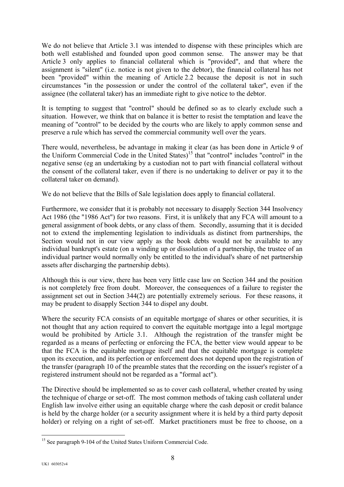We do not believe that Article 3.1 was intended to dispense with these principles which are both well established and founded upon good common sense. The answer may be that Article 3 only applies to financial collateral which is "provided", and that where the assignment is "silent" (i.e. notice is not given to the debtor), the financial collateral has not been "provided" within the meaning of Article 2.2 because the deposit is not in such circumstances "in the possession or under the control of the collateral taker", even if the assignee (the collateral taker) has an immediate right to give notice to the debtor.

It is tempting to suggest that "control" should be defined so as to clearly exclude such a situation. However, we think that on balance it is better to resist the temptation and leave the meaning of "control" to be decided by the courts who are likely to apply common sense and preserve a rule which has served the commercial community well over the years.

There would, nevertheless, be advantage in making it clear (as has been done in Article 9 of the Uniform Commercial Code in the United States)<sup>15</sup> that "control" includes "control" in the negative sense (eg an undertaking by a custodian not to part with financial collateral without the consent of the collateral taker, even if there is no undertaking to deliver or pay it to the collateral taker on demand).

We do not believe that the Bills of Sale legislation does apply to financial collateral.

Furthermore, we consider that it is probably not necessary to disapply Section 344 Insolvency Act 1986 (the "1986 Act") for two reasons. First, it is unlikely that any FCA will amount to a general assignment of book debts, or any class of them. Secondly, assuming that it is decided not to extend the implementing legislation to individuals as distinct from partnerships, the Section would not in our view apply as the book debts would not be available to any individual bankrupt's estate (on a winding up or dissolution of a partnership, the trustee of an individual partner would normally only be entitled to the individual's share of net partnership assets after discharging the partnership debts).

Although this is our view, there has been very little case law on Section 344 and the position is not completely free from doubt. Moreover, the consequences of a failure to register the assignment set out in Section 344(2) are potentially extremely serious. For these reasons, it may be prudent to disapply Section 344 to dispel any doubt.

Where the security FCA consists of an equitable mortgage of shares or other securities, it is not thought that any action required to convert the equitable mortgage into a legal mortgage would be prohibited by Article 3.1. Although the registration of the transfer might be regarded as a means of perfecting or enforcing the FCA, the better view would appear to be that the FCA is the equitable mortgage itself and that the equitable mortgage is complete upon its execution, and its perfection or enforcement does not depend upon the registration of the transfer (paragraph 10 of the preamble states that the recording on the issuer's register of a registered instrument should not be regarded as a "formal act").

The Directive should be implemented so as to cover cash collateral, whether created by using the technique of charge or set-off. The most common methods of taking cash collateral under English law involve either using an equitable charge where the cash deposit or credit balance is held by the charge holder (or a security assignment where it is held by a third party deposit holder) or relying on a right of set-off. Market practitioners must be free to choose, on a

<span id="page-7-0"></span> $\overline{a}$ <sup>15</sup> See paragraph 9-104 of the United States Uniform Commercial Code.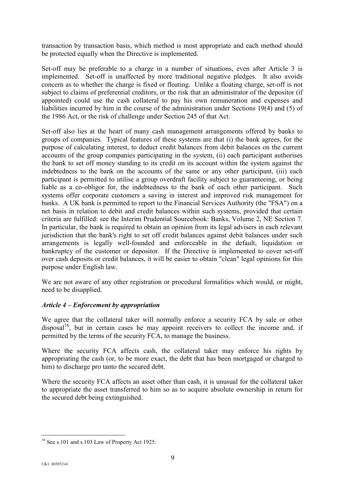transaction by transaction basis, which method is most appropriate and each method should be protected equally when the Directive is implemented.

Set-off may be preferable to a charge in a number of situations, even after Article 3 is implemented. Set-off is unaffected by more traditional negative pledges. It also avoids concern as to whether the charge is fixed or floating. Unlike a floating charge, set-off is not subject to claims of preferential creditors, or the risk that an administrator of the depositor (if appointed) could use the cash collateral to pay his own remuneration and expenses and liabilities incurred by him in the course of the administration under Sections 19(4) and (5) of the 1986 Act, or the risk of challenge under Section 245 of that Act.

Set-off also lies at the heart of many cash management arrangements offered by banks to groups of companies. Typical features of these systems are that (i) the bank agrees, for the purpose of calculating interest, to deduct credit balances from debit balances on the current accounts of the group companies participating in the system, (ii) each participant authorises the bank to set off money standing to its credit on its account within the system against the indebtedness to the bank on the accounts of the same or any other participant, (iii) each participant is permitted to utilise a group overdraft facility subject to guaranteeing, or being liable as a co-obligor for, the indebtedness to the bank of each other participant. Such systems offer corporate customers a saving in interest and improved risk management for banks. A UK bank is permitted to report to the Financial Services Authority (the "FSA") on a net basis in relation to debit and credit balances within such systems, provided that certain criteria are fulfilled: see the Interim Prudential Sourcebook: Banks, Volume 2, NE Section 7. In particular, the bank is required to obtain an opinion from its legal advisers in each relevant jurisdiction that the bank's right to set off credit balances against debit balances under such arrangements is legally well-founded and enforceable in the default, liquidation or bankruptcy of the customer or depositor. If the Directive is implemented to cover set-off over cash deposits or credit balances, it will be easier to obtain "clean" legal opinions for this purpose under English law.

We are not aware of any other registration or procedural formalities which would, or might, need to be disapplied.

# *Article 4 – Enforcement by appropriation*

We agree that the collateral taker will normally enforce a security FCA by sale or other  $disposal<sup>16</sup>$ , but in certain cases he may appoint receivers to collect the income and, if permitted by the terms of the security FCA, to manage the business.

Where the security FCA affects cash, the collateral taker may enforce his rights by appropriating the cash (or, to be more exact, the debt that has been mortgaged or charged to him) to discharge pro tanto the secured debt.

Where the security FCA affects an asset other than cash, it is unusual for the collateral taker to appropriate the asset transferred to him so as to acquire absolute ownership in return for the secured debt being extinguished.

<span id="page-8-0"></span> $\overline{a}$ <sup>16</sup> See s.101 and s.103 Law of Property Act 1925.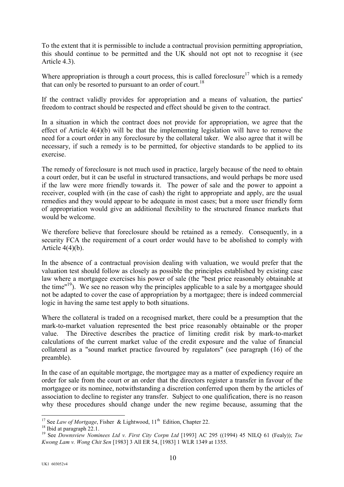To the extent that it is permissible to include a contractual provision permitting appropriation, this should continue to be permitted and the UK should not opt not to recognise it (see Article 4.3).

Where appropriation is through a court process, this is called foreclosure<sup>17</sup> which is a remedy that can only be resorted to pursuant to an order of court.<sup>[18](#page-9-1)</sup>

If the contract validly provides for appropriation and a means of valuation, the parties' freedom to contract should be respected and effect should be given to the contract.

In a situation in which the contract does not provide for appropriation, we agree that the effect of Article 4(4)(b) will be that the implementing legislation will have to remove the need for a court order in any foreclosure by the collateral taker. We also agree that it will be necessary, if such a remedy is to be permitted, for objective standards to be applied to its exercise.

The remedy of foreclosure is not much used in practice, largely because of the need to obtain a court order, but it can be useful in structured transactions, and would perhaps be more used if the law were more friendly towards it. The power of sale and the power to appoint a receiver, coupled with (in the case of cash) the right to appropriate and apply, are the usual remedies and they would appear to be adequate in most cases; but a more user friendly form of appropriation would give an additional flexibility to the structured finance markets that would be welcome.

We therefore believe that foreclosure should be retained as a remedy. Consequently, in a security FCA the requirement of a court order would have to be abolished to comply with Article  $4(4)(b)$ .

In the absence of a contractual provision dealing with valuation, we would prefer that the valuation test should follow as closely as possible the principles established by existing case law where a mortgagee exercises his power of sale (the "best price reasonably obtainable at the time"<sup>19</sup>). We see no reason why the principles applicable to a sale by a mortgagee should not be adapted to cover the case of appropriation by a mortgagee; there is indeed commercial logic in having the same test apply to both situations.

Where the collateral is traded on a recognised market, there could be a presumption that the mark-to-market valuation represented the best price reasonably obtainable or the proper value. The Directive describes the practice of limiting credit risk by mark-to-market calculations of the current market value of the credit exposure and the value of financial collateral as a "sound market practice favoured by regulators" (see paragraph (16) of the preamble).

In the case of an equitable mortgage, the mortgagee may as a matter of expediency require an order for sale from the court or an order that the directors register a transfer in favour of the mortgagee or its nominee, notwithstanding a discretion conferred upon them by the articles of association to decline to register any transfer. Subject to one qualification, there is no reason why these procedures should change under the new regime because, assuming that the

<span id="page-9-0"></span><sup>&</sup>lt;sup>17</sup> See *Law of Mortgage*. Fisher & Lightwood,  $11<sup>th</sup>$  Edition. Chapter 22.

<span id="page-9-2"></span><span id="page-9-1"></span>

<sup>18</sup> Ibid at paragraph 22.1.<br><sup>18</sup> Ibid at paragraph 22.1.<br><sup>19</sup> See *Downsview Nominees Ltd v. First City Corpn Ltd* [1993] AC 295 ((1994) 45 NILQ 61 (Fealy)); *Tse Kwong Lam v. Wong Chit Sen* [1983] 3 All ER 54, [1983] 1 WLR 1349 at 1355.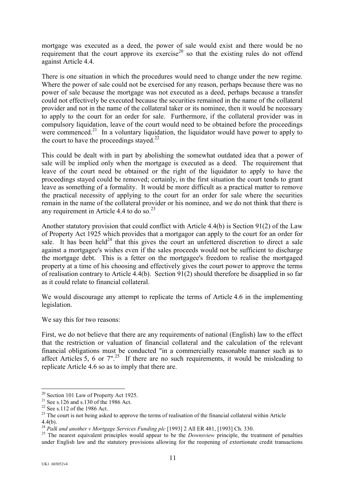<span id="page-10-5"></span>mortgage was executed as a deed, the power of sale would exist and there would be no requirement that the court approve its exercise<sup>20</sup> so that the existing rules do not offend against Article 4.4.

There is one situation in which the procedures would need to change under the new regime. Where the power of sale could not be exercised for any reason, perhaps because there was no power of sale because the mortgage was not executed as a deed, perhaps because a transfer could not effectively be executed because the securities remained in the name of the collateral provider and not in the name of the collateral taker or its nominee, then it would be necessary to apply to the court for an order for sale. Furthermore, if the collateral provider was in compulsory liquidation, leave of the court would need to be obtained before the proceedings were commenced.<sup>21</sup> In a voluntary liquidation, the liquidator would have power to apply to the court to have the proceedings stayed. $^{22}$  $^{22}$  $^{22}$ 

This could be dealt with in part by abolishing the somewhat outdated idea that a power of sale will be implied only when the mortgage is executed as a deed. The requirement that leave of the court need be obtained or the right of the liquidator to apply to have the proceedings stayed could be removed; certainly, in the first situation the court tends to grant leave as something of a formality. It would be more difficult as a practical matter to remove the practical necessity of applying to the court for an order for sale where the securities remain in the name of the collateral provider or his nominee, and we do not think that there is any requirement in Article 4.4 to do so. $^{23}$  $^{23}$  $^{23}$ 

Another statutory provision that could conflict with Article 4.4(b) is Section 91(2) of the Law of Property Act 1925 which provides that a mortgagor can apply to the court for an order for sale. It has been held<sup>24</sup> that this gives the court an unfettered discretion to direct a sale against a mortgagee's wishes even if the sales proceeds would not be sufficient to discharge the mortgage debt. This is a fetter on the mortgagee's freedom to realise the mortgaged property at a time of his choosing and effectively gives the court power to approve the terms of realisation contrary to Article 4.4(b). Section 91(2) should therefore be disapplied in so far as it could relate to financial collateral.

We would discourage any attempt to replicate the terms of Article 4.6 in the implementing legislation.

We say this for two reasons:

First, we do not believe that there are any requirements of national (English) law to the effect that the restriction or valuation of financial collateral and the calculation of the relevant financial obligations must be conducted "in a commercially reasonable manner such as to affect Articles 5, 6 or  $7''$ .<sup>25</sup> If there are no such requirements, it would be misleading to replicate Article 4.6 so as to imply that there are.

 $\overline{a}$ 

<span id="page-10-1"></span>

<span id="page-10-3"></span><span id="page-10-2"></span>

<span id="page-10-0"></span><sup>&</sup>lt;sup>20</sup> Section 101 Law of Property Act 1925.<br><sup>21</sup> See s.126 and s.130 of the 1986 Act.<br><sup>22</sup> See s.112 of the 1986 Act.<br><sup>23</sup> The court is not being asked to approve the terms of realisation of the financial collateral within

<sup>4.4(</sup>b).<br><sup>24</sup> Palk and another v Mortgage Services Funding plc [1993] 2 All ER 481, [1993] Ch. 330.

<span id="page-10-4"></span><sup>&</sup>lt;sup>25</sup> The nearest equivalent principles would appear to be the *Downsview* principle, the treatment of penalties under English law and the statutory provisions allowing for the reopening of extortionate credit transactions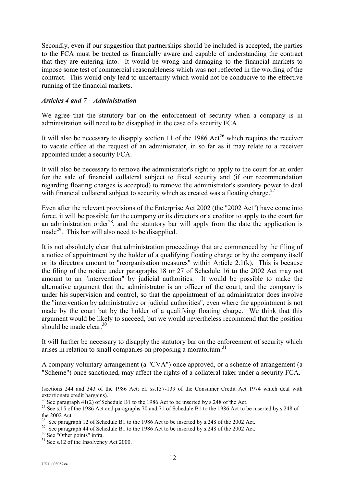Secondly, even if our suggestion that partnerships should be included is accepted, the parties to the FCA must be treated as financially aware and capable of understanding the contract that they are entering into. It would be wrong and damaging to the financial markets to impose some test of commercial reasonableness which was not reflected in the wording of the contract. This would only lead to uncertainty which would not be conducive to the effective running of the financial markets.

## *Articles 4 and 7 – Administration*

We agree that the statutory bar on the enforcement of security when a company is in administration will need to be disapplied in the case of a security FCA.

It will also be necessary to disapply section 11 of the 1986  $Act^{26}$  which requires the receiver to vacate office at the request of an administrator, in so far as it may relate to a receiver appointed under a security FCA.

It will also be necessary to remove the administrator's right to apply to the court for an order for the sale of financial collateral subject to fixed security and (if our recommendation regarding floating charges is accepted) to remove the administrator's statutory power to deal with financial collateral subject to security which as created was a floating charge.<sup>[27](#page-11-1)</sup>

Even after the relevant provisions of the Enterprise Act 2002 (the "2002 Act") have come into force, it will be possible for the company or its directors or a creditor to apply to the court for an administration order<sup>28</sup>, and the statutory bar will apply from the date the application is made<sup>29</sup>. This bar will also need to be disapplied.

It is not absolutely clear that administration proceedings that are commenced by the filing of a notice of appointment by the holder of a qualifying floating charge or by the company itself or its directors amount to "reorganisation measures" within Article 2.1(k). This is because the filing of the notice under paragraphs 18 or 27 of Schedule 16 to the 2002 Act may not amount to an "intervention" by judicial authorities. It would be possible to make the alternative argument that the administrator is an officer of the court, and the company is under his supervision and control, so that the appointment of an administrator does involve the "intervention by administrative or judicial authorities", even where the appointment is not made by the court but by the holder of a qualifying floating charge. We think that this argument would be likely to succeed, but we would nevertheless recommend that the position should be made clear  $30$ 

It will further be necessary to disapply the statutory bar on the enforcement of security which arises in relation to small companies on proposing a moratorium.<sup>[31](#page-11-5)</sup>

A company voluntary arrangement (a "CVA") once approved, or a scheme of arrangement (a "Scheme") once sanctioned, may affect the rights of a collateral taker under a security FCA.

 <sup>(</sup>sections 244 and 343 of the 1986 Act; cf. ss.137-139 of the Consumer Credit Act 1974 which deal with extortionate credit bargains).<br><sup>26</sup> See paragraph 41(2) of Schedule B1 to the 1986 Act to be inserted by s.248 of the Act.

<span id="page-11-0"></span>

<span id="page-11-1"></span><sup>&</sup>lt;sup>27</sup> See s.15 of the 1986 Act and paragraphs 70 and 71 of Schedule B1 to the 1986 Act to be inserted by s.248 of the 2002 Act.<br><sup>28</sup> See paragraph 12 of Schedule B1 to the 1986 Act to be inserted by s.248 of the 2002 Act.

<span id="page-11-2"></span>

<span id="page-11-3"></span><sup>&</sup>lt;sup>29</sup> See paragraph 44 of Schedule B1 to the 1986 Act to be inserted by s.248 of the 2002 Act.<br><sup>30</sup> See "Other points" infra.<br><sup>31</sup> See s.12 of the Insolvency Act 2000.

<span id="page-11-4"></span>

<span id="page-11-5"></span>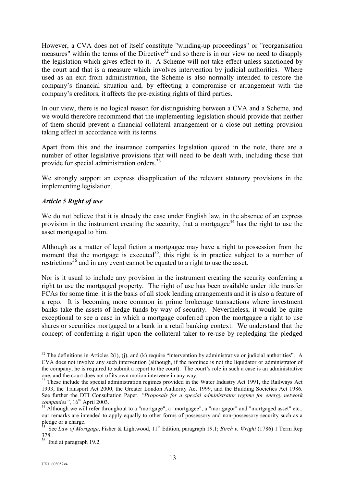However, a CVA does not of itself constitute "winding-up proceedings" or "reorganisation measures" within the terms of the Directive<sup>32</sup> and so there is in our view no need to disapply the legislation which gives effect to it. A Scheme will not take effect unless sanctioned by the court and that is a measure which involves intervention by judicial authorities. Where used as an exit from administration, the Scheme is also normally intended to restore the company's financial situation and, by effecting a compromise or arrangement with the company's creditors, it affects the pre-existing rights of third parties.

In our view, there is no logical reason for distinguishing between a CVA and a Scheme, and we would therefore recommend that the implementing legislation should provide that neither of them should prevent a financial collateral arrangement or a close-out netting provision taking effect in accordance with its terms.

Apart from this and the insurance companies legislation quoted in the note, there are a number of other legislative provisions that will need to be dealt with, including those that provide for special administration orders.<sup>33</sup>

We strongly support an express disapplication of the relevant statutory provisions in the implementing legislation.

# *Article 5 Right of use*

We do not believe that it is already the case under English law, in the absence of an express provision in the instrument creating the security, that a mortgagee<sup>34</sup> has the right to use the asset mortgaged to him.

Although as a matter of legal fiction a mortgagee may have a right to possession from the moment that the mortgage is executed<sup>35</sup>, this right is in practice subject to a number of restrictions<sup>36</sup> and in any event cannot be equated to a right to use the asset.

Nor is it usual to include any provision in the instrument creating the security conferring a right to use the mortgaged property. The right of use has been available under title transfer FCAs for some time: it is the basis of all stock lending arrangements and it is also a feature of a repo. It is becoming more common in prime brokerage transactions where investment banks take the assets of hedge funds by way of security. Nevertheless, it would be quite exceptional to see a case in which a mortgage conferred upon the mortgagee a right to use shares or securities mortgaged to a bank in a retail banking context. We understand that the concept of conferring a right upon the collateral taker to re-use by repledging the pledged

<span id="page-12-0"></span> $\overline{a}$  $32$  The definitions in Articles 2(i), (j), and (k) require "intervention by administrative or judicial authorities". A CVA does not involve any such intervention (although, if the nominee is not the liquidator or administrator of the company, he is required to submit a report to the court). The court's role in such a case is an administrative one, and the court does not of its own motion intervene in any way.

<span id="page-12-1"></span><sup>&</sup>lt;sup>33</sup> These include the special administration regimes provided in the Water Industry Act 1991, the Railways Act 1993, the Transport Act 2000, the Greater London Authority Act 1999, and the Building Societies Act 1986. See further the DTI Consultation Paper, *"Proposals for a special administrator regime for energy network companies"*, 16<sup>th</sup> April 2003.

<span id="page-12-2"></span><sup>&</sup>lt;sup>34</sup> Although we will refer throughout to a "mortgage", a "mortgagee", a "mortgagor" and "mortgaged asset" etc., our remarks are intended to apply equally to other forms of possessory and non-possessory security such as a pledge or a charge.

<span id="page-12-3"></span><sup>35</sup> See *Law of Mortgage*, Fisher & Lightwood, 11th Edition, paragraph 19.1; *Birch v. Wright* (1786) 1 Term Rep 378.

<span id="page-12-4"></span><sup>&</sup>lt;sup>36</sup> Ibid at paragraph 19.2.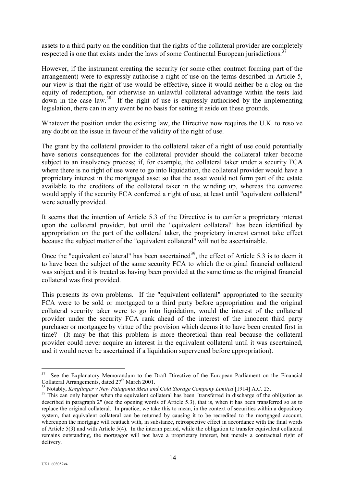assets to a third party on the condition that the rights of the collateral provider are completely respected is one that exists under the laws of some Continental European jurisdictions.<sup>[37](#page-13-0)</sup>

However, if the instrument creating the security (or some other contract forming part of the arrangement) were to expressly authorise a right of use on the terms described in Article 5, our view is that the right of use would be effective, since it would neither be a clog on the equity of redemption, nor otherwise an unlawful collateral advantage within the tests laid down in the case law.[38](#page-13-1) If the right of use is expressly authorised by the implementing legislation, there can in any event be no basis for setting it aside on these grounds.

Whatever the position under the existing law, the Directive now requires the U.K. to resolve any doubt on the issue in favour of the validity of the right of use.

The grant by the collateral provider to the collateral taker of a right of use could potentially have serious consequences for the collateral provider should the collateral taker become subject to an insolvency process; if, for example, the collateral taker under a security FCA where there is no right of use were to go into liquidation, the collateral provider would have a proprietary interest in the mortgaged asset so that the asset would not form part of the estate available to the creditors of the collateral taker in the winding up, whereas the converse would apply if the security FCA conferred a right of use, at least until "equivalent collateral" were actually provided.

It seems that the intention of Article 5.3 of the Directive is to confer a proprietary interest upon the collateral provider, but until the "equivalent collateral" has been identified by appropriation on the part of the collateral taker, the proprietary interest cannot take effect because the subject matter of the "equivalent collateral" will not be ascertainable.

Once the "equivalent collateral" has been ascertained<sup>39</sup>, the effect of Article 5.3 is to deem it to have been the subject of the same security FCA to which the original financial collateral was subject and it is treated as having been provided at the same time as the original financial collateral was first provided.

This presents its own problems. If the "equivalent collateral" appropriated to the security FCA were to be sold or mortgaged to a third party before appropriation and the original collateral security taker were to go into liquidation, would the interest of the collateral provider under the security FCA rank ahead of the interest of the innocent third party purchaser or mortgagee by virtue of the provision which deems it to have been created first in time? (It may be that this problem is more theoretical than real because the collateral provider could never acquire an interest in the equivalent collateral until it was ascertained, and it would never be ascertained if a liquidation supervened before appropriation).

<span id="page-13-0"></span><sup>&</sup>lt;sup>37</sup> See the Explanatory Memorandum to the Draft Directive of the European Parliament on the Financial Collateral Arrangements, dated  $27^{th}$  March 2001.<br><sup>38</sup> Notably, *Kreglinger v New Patagonia Meat and Cold Storage Company Limited* [1914] A.C. 25.<br><sup>39</sup> This can only happen when the equivalent collateral has been "transf

<span id="page-13-1"></span>

<span id="page-13-2"></span>described in paragraph 2" (see the opening words of Article 5.3), that is, when it has been transferred so as to replace the original collateral. In practice, we take this to mean, in the context of securities within a depository system, that equivalent collateral can be returned by causing it to be recredited to the mortgaged account, whereupon the mortgage will reattach with, in substance, retrospective effect in accordance with the final words of Article 5(3) and with Article 5(4). In the interim period, while the obligation to transfer equivalent collateral remains outstanding, the mortgagor will not have a proprietary interest, but merely a contractual right of delivery.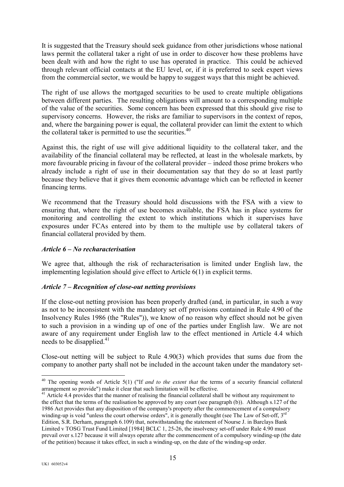It is suggested that the Treasury should seek guidance from other jurisdictions whose national laws permit the collateral taker a right of use in order to discover how these problems have been dealt with and how the right to use has operated in practice. This could be achieved through relevant official contacts at the EU level, or, if it is preferred to seek expert views from the commercial sector, we would be happy to suggest ways that this might be achieved.

The right of use allows the mortgaged securities to be used to create multiple obligations between different parties. The resulting obligations will amount to a corresponding multiple of the value of the securities. Some concern has been expressed that this should give rise to supervisory concerns. However, the risks are familiar to supervisors in the context of repos, and, where the bargaining power is equal, the collateral provider can limit the extent to which the collateral taker is permitted to use the securities.<sup>[40](#page-14-0)</sup>

Against this, the right of use will give additional liquidity to the collateral taker, and the availability of the financial collateral may be reflected, at least in the wholesale markets, by more favourable pricing in favour of the collateral provider – indeed those prime brokers who already include a right of use in their documentation say that they do so at least partly because they believe that it gives them economic advantage which can be reflected in keener financing terms.

We recommend that the Treasury should hold discussions with the FSA with a view to ensuring that, where the right of use becomes available, the FSA has in place systems for monitoring and controlling the extent to which institutions which it supervises have exposures under FCAs entered into by them to the multiple use by collateral takers of financial collateral provided by them.

# *Article 6 – No recharacterisation*

We agree that, although the risk of recharacterisation is limited under English law, the implementing legislation should give effect to Article 6(1) in explicit terms.

#### *Article 7 – Recognition of close-out netting provisions*

If the close-out netting provision has been properly drafted (and, in particular, in such a way as not to be inconsistent with the mandatory set off provisions contained in Rule 4.90 of the Insolvency Rules 1986 (the "Rules")), we know of no reason why effect should not be given to such a provision in a winding up of one of the parties under English law. We are not aware of any requirement under English law to the effect mentioned in Article 4.4 which needs to be disapplied.<sup>[41](#page-14-1)</sup>

Close-out netting will be subject to Rule 4.90(3) which provides that sums due from the company to another party shall not be included in the account taken under the mandatory set-

<span id="page-14-0"></span><sup>40</sup> The opening words of Article 5(1) ("If *and to the extent that* the terms of a security financial collateral arrangement so provide") make it clear that such limitation will be effective.

<span id="page-14-1"></span> $41$  Article 4.4 provides that the manner of realising the financial collateral shall be without any requirement to the effect that the terms of the realisation be approved by any court (see paragraph (b)). Although s.127 of the 1986 Act provides that any disposition of the company's property after the commencement of a compulsory winding-up is void "unless the court otherwise orders", it is generally thought (see The Law of Set-off, 3<sup>rd</sup>) Edition, S.R. Derham, paragraph 6.109) that, notwithstanding the statement of Nourse J. in Barclays Bank Limited v TOSG Trust Fund Limited [1984] BCLC 1, 25-26, the insolvency set-off under Rule 4.90 must prevail over s.127 because it will always operate after the commencement of a compulsory winding-up (the date of the petition) because it takes effect, in such a winding-up, on the date of the winding-up order.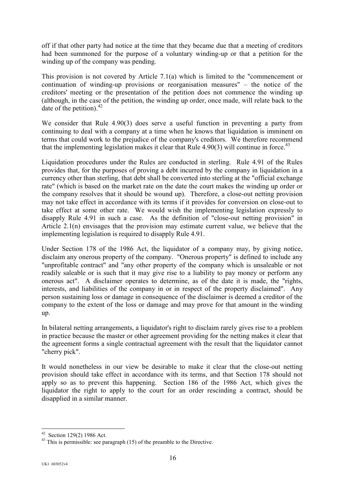off if that other party had notice at the time that they became due that a meeting of creditors had been summoned for the purpose of a voluntary winding-up or that a petition for the winding up of the company was pending.

This provision is not covered by Article 7.1(a) which is limited to the "commencement or continuation of winding-up provisions or reorganisation measures" – the notice of the creditors' meeting or the presentation of the petition does not commence the winding up (although, in the case of the petition, the winding up order, once made, will relate back to the date of the petition).  $42$ 

We consider that Rule 4.90(3) does serve a useful function in preventing a party from continuing to deal with a company at a time when he knows that liquidation is imminent on terms that could work to the prejudice of the company's creditors. We therefore recommend that the implementing legislation makes it clear that Rule  $4.90(3)$  will continue in force.<sup>[43](#page-15-1)</sup>

Liquidation procedures under the Rules are conducted in sterling. Rule 4.91 of the Rules provides that, for the purposes of proving a debt incurred by the company in liquidation in a currency other than sterling, that debt shall be converted into sterling at the "official exchange rate" (which is based on the market rate on the date the court makes the winding up order or the company resolves that it should be wound up). Therefore, a close-out netting provision may not take effect in accordance with its terms if it provides for conversion on close-out to take effect at some other rate. We would wish the implementing legislation expressly to disapply Rule 4.91 in such a case. As the definition of "close-out netting provision" in Article 2.1(n) envisages that the provision may estimate current value, we believe that the implementing legislation is required to disapply Rule 4.91.

Under Section 178 of the 1986 Act, the liquidator of a company may, by giving notice, disclaim any onerous property of the company. "Onerous property" is defined to include any "unprofitable contract" and "any other property of the company which is unsaleable or not readily saleable or is such that it may give rise to a liability to pay money or perform any onerous act". A disclaimer operates to determine, as of the date it is made, the "rights, interests, and liabilities of the company in or in respect of the property disclaimed". Any person sustaining loss or damage in consequence of the disclaimer is deemed a creditor of the company to the extent of the loss or damage and may prove for that amount in the winding up.

In bilateral netting arrangements, a liquidator's right to disclaim rarely gives rise to a problem in practice because the master or other agreement providing for the netting makes it clear that the agreement forms a single contractual agreement with the result that the liquidator cannot "cherry pick".

It would nonetheless in our view be desirable to make it clear that the close-out netting provision should take effect in accordance with its terms, and that Section 178 should not apply so as to prevent this happening. Section 186 of the 1986 Act, which gives the liquidator the right to apply to the court for an order rescinding a contract, should be disapplied in a similar manner.

<span id="page-15-0"></span><sup>&</sup>lt;sup>42</sup> Section 129(2) 1986 Act.

<span id="page-15-1"></span> $43$  This is permissible: see paragraph (15) of the preamble to the Directive.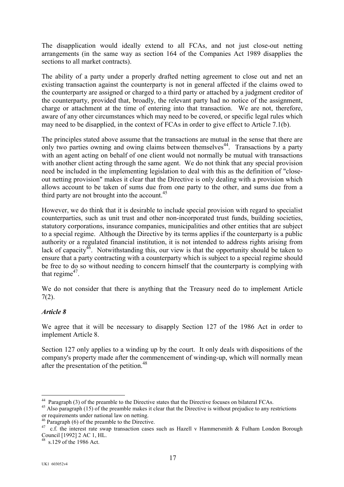The disapplication would ideally extend to all FCAs, and not just close-out netting arrangements (in the same way as section 164 of the Companies Act 1989 disapplies the sections to all market contracts).

The ability of a party under a properly drafted netting agreement to close out and net an existing transaction against the counterparty is not in general affected if the claims owed to the counterparty are assigned or charged to a third party or attached by a judgment creditor of the counterparty, provided that, broadly, the relevant party had no notice of the assignment, charge or attachment at the time of entering into that transaction. We are not, therefore, aware of any other circumstances which may need to be covered, or specific legal rules which may need to be disapplied, in the context of FCAs in order to give effect to Article 7.1(b).

The principles stated above assume that the transactions are mutual in the sense that there are only two parties owning and owing claims between themselves<sup>44</sup>. Transactions by a party with an agent acting on behalf of one client would not normally be mutual with transactions with another client acting through the same agent. We do not think that any special provision need be included in the implementing legislation to deal with this as the definition of "closeout netting provision" makes it clear that the Directive is only dealing with a provision which allows account to be taken of sums due from one party to the other, and sums due from a third party are not brought into the account. $45$ 

However, we do think that it is desirable to include special provision with regard to specialist counterparties, such as unit trust and other non-incorporated trust funds, building societies, statutory corporations, insurance companies, municipalities and other entities that are subject to a special regime. Although the Directive by its terms applies if the counterparty is a public authority or a regulated financial institution, it is not intended to address rights arising from lack of capacity<sup>46</sup>. Notwithstanding this, our view is that the opportunity should be taken to ensure that a party contracting with a counterparty which is subject to a special regime should be free to do so without needing to concern himself that the counterparty is complying with that regime<sup>47</sup>.

We do not consider that there is anything that the Treasury need do to implement Article 7(2).

# *Article 8*

We agree that it will be necessary to disapply Section 127 of the 1986 Act in order to implement Article 8.

Section 127 only applies to a winding up by the court. It only deals with dispositions of the company's property made after the commencement of winding-up, which will normally mean after the presentation of the petition.<sup>[48](#page-16-4)</sup>

<span id="page-16-0"></span><sup>&</sup>lt;sup>44</sup> Paragraph (3) of the preamble to the Directive states that the Directive focuses on bilateral FCAs.

<span id="page-16-1"></span> $45$  Also paragraph (15) of the preamble makes it clear that the Directive is without prejudice to any restrictions or requirements under national law on netting.<br> $46$  Paragraph (6) of the preamble to the Directive.

<span id="page-16-2"></span>

<span id="page-16-3"></span><sup>&</sup>lt;sup>47</sup> c.f. the interest rate swap transaction cases such as Hazell v Hammersmith & Fulham London Borough Council [1992] 2 AC 1, HL.

<span id="page-16-4"></span>s.129 of the 1986 Act.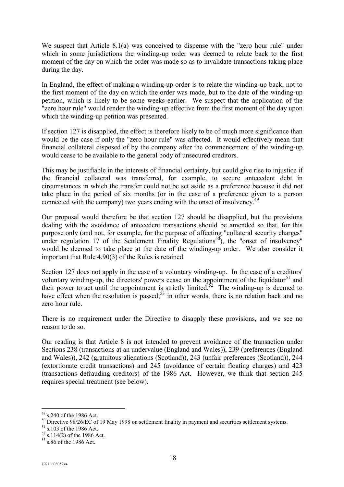We suspect that Article 8.1(a) was conceived to dispense with the "zero hour rule" under which in some jurisdictions the winding-up order was deemed to relate back to the first moment of the day on which the order was made so as to invalidate transactions taking place during the day.

In England, the effect of making a winding-up order is to relate the winding-up back, not to the first moment of the day on which the order was made, but to the date of the winding-up petition, which is likely to be some weeks earlier. We suspect that the application of the "zero hour rule" would render the winding-up effective from the first moment of the day upon which the winding-up petition was presented.

If section 127 is disapplied, the effect is therefore likely to be of much more significance than would be the case if only the "zero hour rule" was affected. It would effectively mean that financial collateral disposed of by the company after the commencement of the winding-up would cease to be available to the general body of unsecured creditors.

This may be justifiable in the interests of financial certainty, but could give rise to injustice if the financial collateral was transferred, for example, to secure antecedent debt in circumstances in which the transfer could not be set aside as a preference because it did not take place in the period of six months (or in the case of a preference given to a person connected with the company) two years ending with the onset of insolvency.<sup>[49](#page-17-0)</sup>

Our proposal would therefore be that section 127 should be disapplied, but the provisions dealing with the avoidance of antecedent transactions should be amended so that, for this purpose only (and not, for example, for the purpose of affecting "collateral security charges" under regulation 17 of the Settlement Finality Regulations<sup>50</sup>), the "onset of insolvency" would be deemed to take place at the date of the winding-up order. We also consider it important that Rule 4.90(3) of the Rules is retained.

Section 127 does not apply in the case of a voluntary winding-up. In the case of a creditors' voluntary winding-up, the directors' powers cease on the appointment of the liquidator<sup>51</sup> and their power to act until the appointment is strictly limited.<sup>52</sup> The winding-up is deemed to have effect when the resolution is passed; $53$  in other words, there is no relation back and no zero hour rule.

There is no requirement under the Directive to disapply these provisions, and we see no reason to do so.

Our reading is that Article 8 is not intended to prevent avoidance of the transaction under Sections 238 (transactions at an undervalue (England and Wales)), 239 (preferences (England and Wales)), 242 (gratuitous alienations (Scotland)), 243 (unfair preferences (Scotland)), 244 (extortionate credit transactions) and 245 (avoidance of certain floating charges) and 423 (transactions defrauding creditors) of the 1986 Act. However, we think that section 245 requires special treatment (see below).

<span id="page-17-0"></span> $49$  s.240 of the 1986 Act.

<span id="page-17-1"></span> $\frac{50}{10}$  Directive 98/26/EC of 19 May 1998 on settlement finality in payment and securities settlement systems.<br>  $\frac{51}{52}$  s.103 of the 1986 Act.<br>  $\frac{52}{53}$  s.86 of the 1986 Act.

<span id="page-17-2"></span>

<span id="page-17-3"></span>

<span id="page-17-4"></span>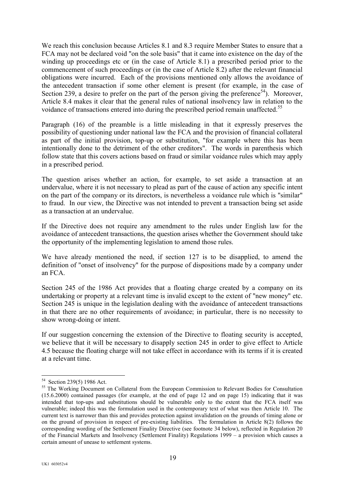We reach this conclusion because Articles 8.1 and 8.3 require Member States to ensure that a FCA may not be declared void "on the sole basis" that it came into existence on the day of the winding up proceedings etc or (in the case of Article 8.1) a prescribed period prior to the commencement of such proceedings or (in the case of Article 8.2) after the relevant financial obligations were incurred. Each of the provisions mentioned only allows the avoidance of the antecedent transaction if some other element is present (for example, in the case of Section 239, a desire to prefer on the part of the person giving the preference<sup>54</sup>). Moreover, Article 8.4 makes it clear that the general rules of national insolvency law in relation to the voidance of transactions entered into during the prescribed period remain unaffected.<sup>[55](#page-18-1)</sup>

Paragraph (16) of the preamble is a little misleading in that it expressly preserves the possibility of questioning under national law the FCA and the provision of financial collateral as part of the initial provision, top-up or substitution, "for example where this has been intentionally done to the detriment of the other creditors". The words in parenthesis which follow state that this covers actions based on fraud or similar voidance rules which may apply in a prescribed period.

The question arises whether an action, for example, to set aside a transaction at an undervalue, where it is not necessary to plead as part of the cause of action any specific intent on the part of the company or its directors, is nevertheless a voidance rule which is "similar" to fraud. In our view, the Directive was not intended to prevent a transaction being set aside as a transaction at an undervalue.

If the Directive does not require any amendment to the rules under English law for the avoidance of antecedent transactions, the question arises whether the Government should take the opportunity of the implementing legislation to amend those rules.

We have already mentioned the need, if section 127 is to be disapplied, to amend the definition of "onset of insolvency" for the purpose of dispositions made by a company under an FCA.

Section 245 of the 1986 Act provides that a floating charge created by a company on its undertaking or property at a relevant time is invalid except to the extent of "new money" etc. Section 245 is unique in the legislation dealing with the avoidance of antecedent transactions in that there are no other requirements of avoidance; in particular, there is no necessity to show wrong-doing or intent.

If our suggestion concerning the extension of the Directive to floating security is accepted, we believe that it will be necessary to disapply section 245 in order to give effect to Article 4.5 because the floating charge will not take effect in accordance with its terms if it is created at a relevant time.

<span id="page-18-0"></span><sup>&</sup>lt;sup>54</sup> Section 239(5) 1986 Act.

<span id="page-18-1"></span><sup>&</sup>lt;sup>55</sup> The Working Document on Collateral from the European Commission to Relevant Bodies for Consultation (15.6.2000) contained passages (for example, at the end of page 12 and on page 15) indicating that it was intended that top-ups and substitutions should be vulnerable only to the extent that the FCA itself was vulnerable; indeed this was the formulation used in the contemporary text of what was then Article 10. The current text is narrower than this and provides protection against invalidation on the grounds of timing alone or on the ground of provision in respect of pre-existing liabilities. The formulation in Article 8(2) follows the corresponding wording of the Settlement Finality Directive (see footnote 34 below), reflected in Regulation 20 of the Financial Markets and Insolvency (Settlement Finality) Regulations 1999 – a provision which causes a certain amount of unease to settlement systems.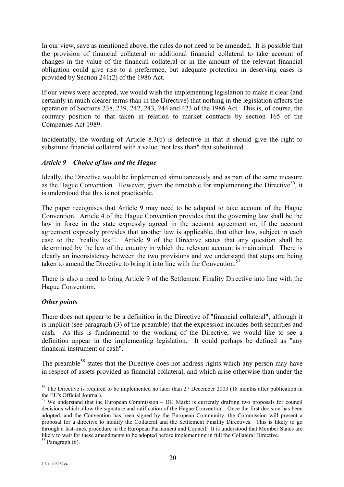In our view, save as mentioned above, the rules do not need to be amended. It is possible that the provision of financial collateral or additional financial collateral to take account of changes in the value of the financial collateral or in the amount of the relevant financial obligation could give rise to a preference, but adequate protection in deserving cases is provided by Section 241(2) of the 1986 Act.

If our views were accepted, we would wish the implementing legislation to make it clear (and certainly in much clearer terms than in the Directive) that nothing in the legislation affects the operation of Sections 238, 239, 242, 243, 244 and 423 of the 1986 Act. This is, of course, the contrary position to that taken in relation to market contracts by section 165 of the Companies Act 1989.

Incidentally, the wording of Article 8.3(b) is defective in that it should give the right to substitute financial collateral with a value "not less than" that substituted.

# *Article 9 – Choice of law and the Hague*

Ideally, the Directive would be implemented simultaneously and as part of the same measure as the Hague Convention. However, given the timetable for implementing the Directive<sup>56</sup>, it is understood that this is not practicable.

The paper recognises that Article 9 may need to be adapted to take account of the Hague Convention. Article 4 of the Hague Convention provides that the governing law shall be the law in force in the state expressly agreed in the account agreement or, if the account agreement expressly provides that another law is applicable, that other law, subject in each case to the "reality test". Article 9 of the Directive states that any question shall be determined by the law of the country in which the relevant account is maintained. There is clearly an inconsistency between the two provisions and we understand that steps are being taken to amend the Directive to bring it into line with the Convention.<sup>[57](#page-19-1)</sup>

There is also a need to bring Article 9 of the Settlement Finality Directive into line with the Hague Convention.

# *Other points*

There does not appear to be a definition in the Directive of "financial collateral", although it is implicit (see paragraph (3) of the preamble) that the expression includes both securities and cash. As this is fundamental to the working of the Directive, we would like to see a definition appear in the implementing legislation. It could perhaps be defined as "any financial instrument or cash".

The preamble<sup>58</sup> states that the Directive does not address rights which any person may have in respect of assets provided as financial collateral, and which arise otherwise than under the

<span id="page-19-0"></span><sup>&</sup>lt;sup>56</sup> The Directive is required to be implemented no later than 27 December 2003 (18 months after publication in the EU's Official Journal).

<span id="page-19-1"></span> $57$  We understand that the European Commission – DG Markt is currently drafting two proposals for council decisions which allow the signature and ratification of the Hague Convention. Once the first decision has been adopted, and the Convention has been signed by the European Community, the Commission will present a proposal for a directive to modify the Collateral and the Settlement Finality Directives. This is likely to go through a fast-track procedure in the European Parliament and Council. It is understood that Member States are likely to wait for these amendments to be adopted before implementing in full the Collateral Directive.

<span id="page-19-2"></span><sup>&</sup>lt;sup>58</sup> Paragraph (6).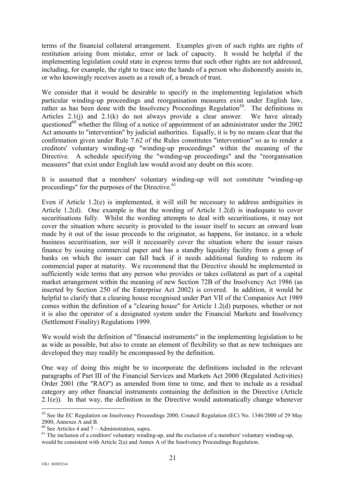terms of the financial collateral arrangement. Examples given of such rights are rights of restitution arising from mistake, error or lack of capacity. It would be helpful if the implementing legislation could state in express terms that such other rights are not addressed, including, for example, the right to trace into the hands of a person who dishonestly assists in, or who knowingly receives assets as a result of, a breach of trust.

We consider that it would be desirable to specify in the implementing legislation which particular winding-up proceedings and reorganisation measures exist under English law, rather as has been done with the Insolvency Proceedings Regulation<sup>59</sup>. The definitions in Articles  $2.1(i)$  and  $2.1(k)$  do not always provide a clear answer. We have already questioned<sup>60</sup> whether the filing of a notice of appointment of an administrator under the 2002 Act amounts to "intervention" by judicial authorities. Equally, it is by no means clear that the confirmation given under Rule 7.62 of the Rules constitutes "intervention" so as to render a creditors' voluntary winding-up "winding-up proceedings" within the meaning of the Directive. A schedule specifying the "winding-up proceedings" and the "reorganisation measures" that exist under English law would avoid any doubt on this score.

It is assumed that a members' voluntary winding-up will not constitute "winding-up proceedings" for the purposes of the Directive.<sup>[61](#page-20-2)</sup>

Even if Article 1.2(e) is implemented, it will still be necessary to address ambiguities in Article 1.2(d). One example is that the wording of Article 1.2(d) is inadequate to cover securitisations fully. Whilst the wording attempts to deal with securitisations, it may not cover the situation where security is provided to the issuer itself to secure an onward loan made by it out of the issue proceeds to the originator, as happens, for instance, in a whole business securitisation, nor will it necessarily cover the situation where the issuer raises finance by issuing commercial paper and has a standby liquidity facility from a group of banks on which the issuer can fall back if it needs additional funding to redeem its commercial paper at maturity. We recommend that the Directive should be implemented in sufficiently wide terms that any person who provides or takes collateral as part of a capital market arrangement within the meaning of new Section 72B of the Insolvency Act 1986 (as inserted by Section 250 of the Enterprise Act 2002) is covered. In addition, it would be helpful to clarify that a clearing house recognised under Part VII of the Companies Act 1989 comes within the definition of a "clearing house" for Article 1.2(d) purposes, whether or not it is also the operator of a designated system under the Financial Markets and Insolvency (Settlement Finality) Regulations 1999.

We would wish the definition of "financial instruments" in the implementing legislation to be as wide as possible, but also to create an element of flexibility so that as new techniques are developed they may readily be encompassed by the definition.

One way of doing this might be to incorporate the definitions included in the relevant paragraphs of Part III of the Financial Services and Markets Act 2000 (Regulated Activities) Order 2001 (the "RAO") as amended from time to time, and then to include as a residual category any other financial instruments containing the definition in the Directive (Article  $2.1(e)$ ). In that way, the definition in the Directive would automatically change whenever

<span id="page-20-0"></span> $\overline{a}$ <sup>59</sup> See the EC Regulation on Insolvency Proceedings 2000, Council Regulation (EC) No. 1346/2000 of 29 May 2000, Annexes A and B.<br><sup>60</sup> See Articles 4 and 7 – Administration, supra.

<span id="page-20-1"></span>

<span id="page-20-2"></span> $61$  The inclusion of a creditors' voluntary winding-up, and the exclusion of a members' voluntary winding-up, would be consistent with Article 2(a) and Annex A of the Insolvency Proceedings Regulation.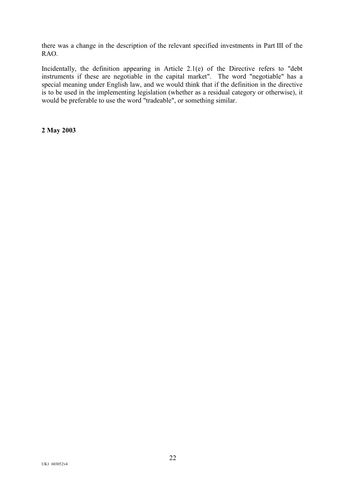there was a change in the description of the relevant specified investments in Part III of the RAO.

Incidentally, the definition appearing in Article 2.1(e) of the Directive refers to "debt instruments if these are negotiable in the capital market". The word "negotiable" has a special meaning under English law, and we would think that if the definition in the directive is to be used in the implementing legislation (whether as a residual category or otherwise), it would be preferable to use the word "tradeable", or something similar.

**2 May 2003**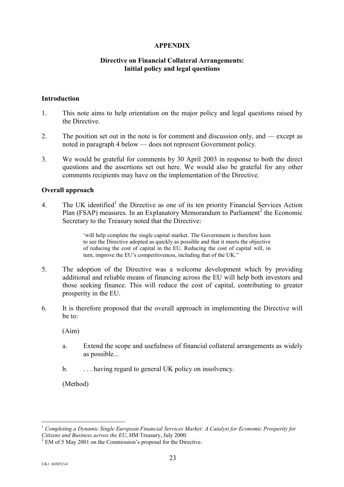## **APPENDIX**

#### **Directive on Financial Collateral Arrangements: Initial policy and legal questions**

#### **Introduction**

- 1. This note aims to help orientation on the major policy and legal questions raised by the Directive.
- 2. The position set out in the note is for comment and discussion only, and except as noted in paragraph 4 below — does not represent Government policy.
- 3. We would be grateful for comments by 30 April 2003 in response to both the direct questions and the assertions set out here. We would also be grateful for any other comments recipients may have on the implementation of the Directive.

#### **Overall approach**

4. The UK identified<sup>[1](#page-22-0)</sup> the Directive as one of its ten priority Financial Services Action Plan (FSAP) measures. In an Explanatory Memorandum to Parliament<sup>[2](#page-22-1)</sup> the Economic Secretary to the Treasury noted that the Directive:

> 'will help complete the single capital market. The Government is therefore keen to see the Directive adopted as quickly as possible and that it meets the objective of reducing the cost of capital in the EU. Reducing the cost of capital will, in turn, improve the EU's competitiveness, including that of the UK."

- 5. The adoption of the Directive was a welcome development which by providing additional and reliable means of financing across the EU will help both investors and those seeking finance. This will reduce the cost of capital, contributing to greater prosperity in the EU.
- 6. It is therefore proposed that the overall approach in implementing the Directive will be to:

(Aim)

- a. Extend the scope and usefulness of financial collateral arrangements as widely as possible...
- b.  $\ldots$  having regard to general UK policy on insolvency.

(Method)

<span id="page-22-0"></span><sup>1</sup> *Completing a Dynamic Single European Financial Services Market: A Catalyst for Economic Prosperity for Citizens and Business across the EU*, HM Treasury, July 2000.<br><sup>2</sup> EM of 5 May 2001 on the Commission's proposal for the Directive.

<span id="page-22-1"></span>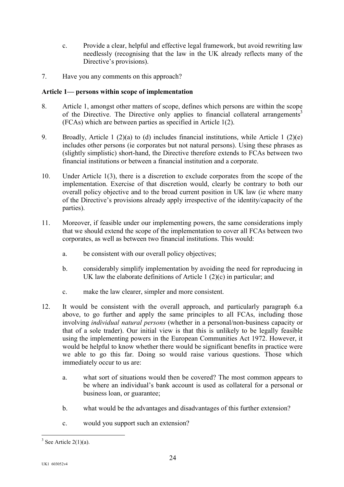- c. Provide a clear, helpful and effective legal framework, but avoid rewriting law needlessly (recognising that the law in the UK already reflects many of the Directive's provisions).
- 7. Have you any comments on this approach?

# **Article 1— persons within scope of implementation**

- 8. Article 1, amongst other matters of scope, defines which persons are within the scope of the Directive. The Directive only applies to financial collateral arrangements<sup>3</sup> (FCAs) which are between parties as specified in Article 1(2).
- 9. Broadly, Article 1 (2)(a) to (d) includes financial institutions, while Article 1 (2)(e) includes other persons (ie corporates but not natural persons). Using these phrases as (slightly simplistic) short-hand, the Directive therefore extends to FCAs between two financial institutions or between a financial institution and a corporate.
- 10. Under Article 1(3), there is a discretion to exclude corporates from the scope of the implementation. Exercise of that discretion would, clearly be contrary to both our overall policy objective and to the broad current position in UK law (ie where many of the Directive's provisions already apply irrespective of the identity/capacity of the parties).
- 11. Moreover, if feasible under our implementing powers, the same considerations imply that we should extend the scope of the implementation to cover all FCAs between two corporates, as well as between two financial institutions. This would:
	- a. be consistent with our overall policy objectives;
	- b. considerably simplify implementation by avoiding the need for reproducing in UK law the elaborate definitions of Article 1 (2)(c) in particular; and
	- c. make the law clearer, simpler and more consistent.
- 12. It would be consistent with the overall approach, and particularly paragraph 6.a above, to go further and apply the same principles to all FCAs, including those involving *individual natural persons* (whether in a personal/non-business capacity or that of a sole trader). Our initial view is that this is unlikely to be legally feasible using the implementing powers in the European Communities Act 1972. However, it would be helpful to know whether there would be significant benefits in practice were we able to go this far. Doing so would raise various questions. Those which immediately occur to us are:
	- a. what sort of situations would then be covered? The most common appears to be where an individual's bank account is used as collateral for a personal or business loan, or guarantee;
	- b. what would be the advantages and disadvantages of this further extension?
	- c. would you support such an extension?

<span id="page-23-0"></span> $3$  See Article 2(1)(a).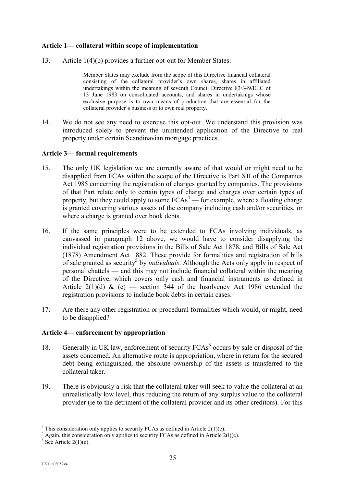## **Article 1— collateral within scope of implementation**

13. Article 1(4)(b) provides a further opt-out for Member States:

Member States may exclude from the scope of this Directive financial collateral consisting of the collateral provider's own shares, shares in affiliated undertakings within the meaning of seventh Council Directive 83/349/EEC of 13 June 1983 on consolidated accounts, and shares in undertakings whose exclusive purpose is to own means of production that are essential for the collateral provider's business or to own real property.

14. We do not see any need to exercise this opt-out. We understand this provision was introduced solely to prevent the unintended application of the Directive to real property under certain Scandinavian mortgage practices.

#### **Article 3— formal requirements**

- 15. The only UK legislation we are currently aware of that would or might need to be disapplied from FCAs within the scope of the Directive is Part XII of the Companies Act 1985 concerning the registration of charges granted by companies. The provisions of that Part relate only to certain types of charge and charges over certain types of property, but they could apply to some  $FCAs<sup>4</sup>$  $FCAs<sup>4</sup>$  $FCAs<sup>4</sup>$  — for example, where a floating charge is granted covering various assets of the company including cash and/or securities, or where a charge is granted over book debts.
- 16. If the same principles were to be extended to FCAs involving individuals, as canvassed in paragraph 12 above, we would have to consider disapplying the individual registration provisions in the Bills of Sale Act 1878, and Bills of Sale Act (1878) Amendment Act 1882. These provide for formalities and registration of bills of sale granted as security<sup>5</sup> by *individuals*. Although the Acts only apply in respect of personal chattels — and this may not include financial collateral within the meaning of the Directive, which covers only cash and financial instruments as defined in Article 2(1)(d)  $\&$  (e) — section 344 of the Insolvency Act 1986 extended the registration provisions to include book debts in certain cases.
- 17. Are there any other registration or procedural formalities which would, or might, need to be disapplied?

# **Article 4— enforcement by appropriation**

- 18. Generally in UK law, enforcement of security FCAs<sup>[6](#page-24-2)</sup> occurs by sale or disposal of the assets concerned. An alternative route is appropriation, where in return for the secured debt being extinguished, the absolute ownership of the assets is transferred to the collateral taker.
- 19. There is obviously a risk that the collateral taker will seek to value the collateral at an unrealistically low level, thus reducing the return of any surplus value to the collateral provider (ie to the detriment of the collateral provider and its other creditors). For this

<span id="page-24-0"></span> $4$  This consideration only applies to security FCAs as defined in Article 2(1)(c).

<span id="page-24-1"></span> $5$  Again, this consideration only applies to security FCAs as defined in Article 2(l)(c).

<span id="page-24-2"></span> $6$  See Article 2(1)(c).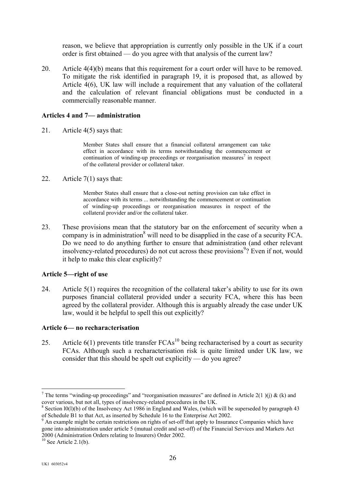reason, we believe that appropriation is currently only possible in the UK if a court order is first obtained — do you agree with that analysis of the current law?

20. Article 4(4)(b) means that this requirement for a court order will have to be removed. To mitigate the risk identified in paragraph 19, it is proposed that, as allowed by Article 4(6), UK law will include a requirement that any valuation of the collateral and the calculation of relevant financial obligations must be conducted in a commercially reasonable manner.

## **Articles 4 and 7— administration**

21. Article 4(5) says that:

Member States shall ensure that a financial collateral arrangement can take effect in accordance with its terms notwithstanding the commencement or continuation of winding-up proceedings or reorganisation measures<sup>[7](#page-25-0)</sup> in respect of the collateral provider or collateral taker.

22. Article 7(1) says that:

Member States shall ensure that a close-out netting provision can take effect in accordance with its terms ... notwithstanding the commencement or continuation of winding-up proceedings or reorganisation measures in respect of the collateral provider and/or the collateral taker.

23. These provisions mean that the statutory bar on the enforcement of security when a company is in administration<sup>[8](#page-25-1)</sup> will need to be disapplied in the case of a security FCA. Do we need to do anything further to ensure that administration (and other relevant insolvency-related procedures) do not cut across these provisions<sup>[9](#page-25-2)</sup>? Even if not, would it help to make this clear explicitly?

#### **Article 5—right of use**

24. Article 5(1) requires the recognition of the collateral taker's ability to use for its own purposes financial collateral provided under a security FCA, where this has been agreed by the collateral provider. Although this is arguably already the case under UK law, would it be helpful to spell this out explicitly?

#### **Article 6— no rechara**c**terisation**

25. Article  $6(1)$  prevents title transfer  $FCAs<sup>10</sup>$  being recharacterised by a court as security FCAs. Although such a recharacterisation risk is quite limited under UK law, we consider that this should be spelt out explicitly — do you agree?

<span id="page-25-0"></span><sup>&</sup>lt;sup>7</sup> The terms "winding-up proceedings" and "reorganisation measures" are defined in Article 2(1 )(j) & (k) and cover various, but not all, types of insolvency-related procedures in the UK.

<span id="page-25-1"></span><sup>&</sup>lt;sup>8</sup> Section l0(l)(b) of the Insolvency Act 1986 in England and Wales, (which will be superseded by paragraph 43 of Schedule B1 to that Act, as inserted by Schedule 16 to the Enterprise Act 2002.

<span id="page-25-2"></span><sup>9</sup> An example might be certain restrictions on rights of set-off that apply to Insurance Companies which have gone into administration under article 5 (mutual credit and set-off) of the Financial Services and Markets Act 2000 (Administration Orders relating to Insurers) Order 2002.

<span id="page-25-3"></span> $10$  See Article 2.1(b).